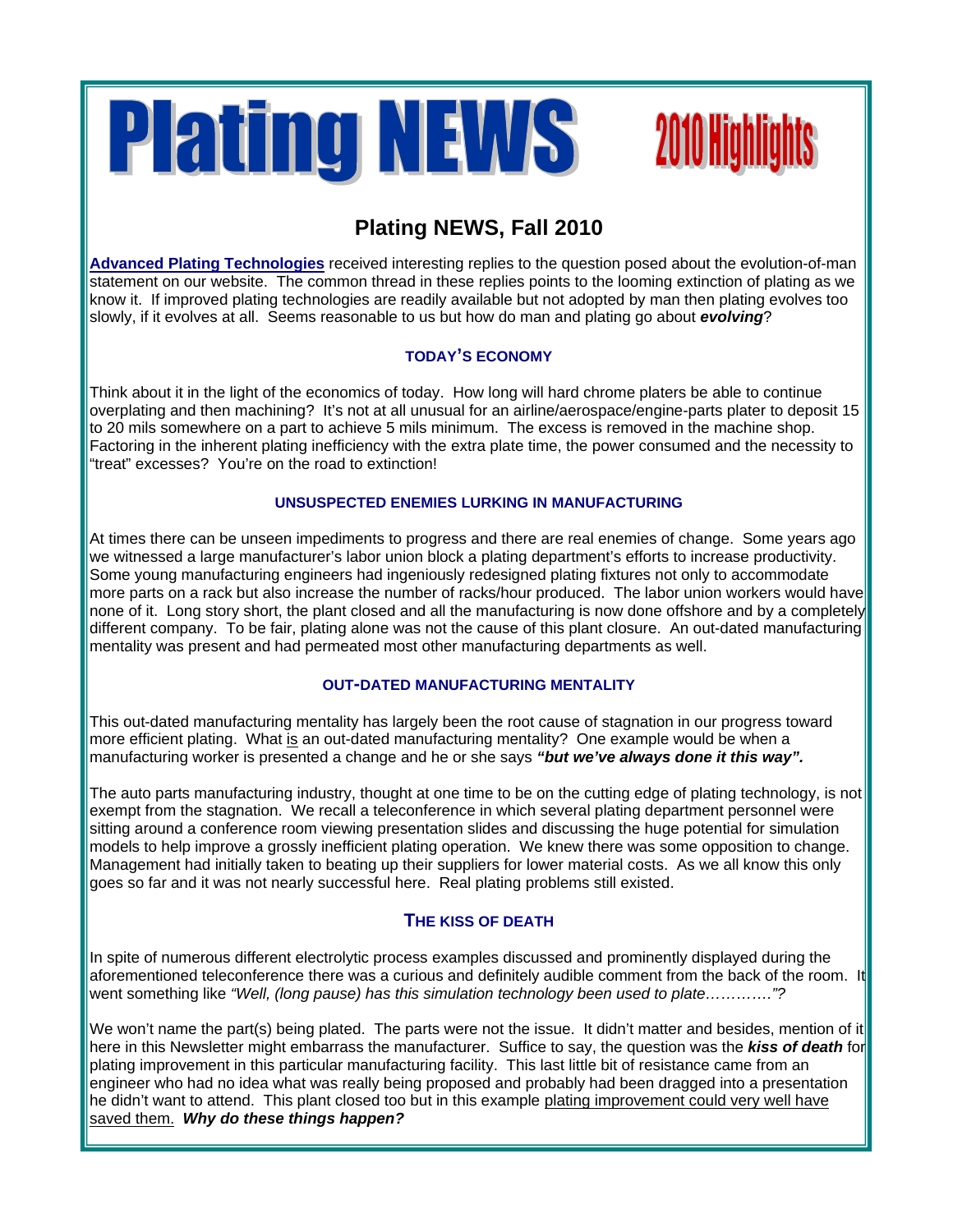

# **2010 Highlights**

### **Plating NEWS, Fall 2010**

**Advanced Plating Technologies** received interesting replies to the question posed about the evolution-of-man statement on our website. The common thread in these replies points to the looming extinction of plating as we know it. If improved plating technologies are readily available but not adopted by man then plating evolves too slowly, if it evolves at all. Seems reasonable to us but how do man and plating go about *evolving*?

#### **TODAY'S ECONOMY**

Think about it in the light of the economics of today. How long will hard chrome platers be able to continue overplating and then machining? It's not at all unusual for an airline/aerospace/engine-parts plater to deposit 15 to 20 mils somewhere on a part to achieve 5 mils minimum. The excess is removed in the machine shop. Factoring in the inherent plating inefficiency with the extra plate time, the power consumed and the necessity to "treat" excesses? You're on the road to extinction!

#### **UNSUSPECTED ENEMIES LURKING IN MANUFACTURING**

At times there can be unseen impediments to progress and there are real enemies of change. Some years ago we witnessed a large manufacturer's labor union block a plating department's efforts to increase productivity. Some young manufacturing engineers had ingeniously redesigned plating fixtures not only to accommodate more parts on a rack but also increase the number of racks/hour produced. The labor union workers would have none of it. Long story short, the plant closed and all the manufacturing is now done offshore and by a completely different company. To be fair, plating alone was not the cause of this plant closure. An out-dated manufacturing mentality was present and had permeated most other manufacturing departments as well.

#### **OUT-DATED MANUFACTURING MENTALITY**

This out-dated manufacturing mentality has largely been the root cause of stagnation in our progress toward more efficient plating. What is an out-dated manufacturing mentality? One example would be when a manufacturing worker is presented a change and he or she says *"but we've always done it this way".*

The auto parts manufacturing industry, thought at one time to be on the cutting edge of plating technology, is not exempt from the stagnation. We recall a teleconference in which several plating department personnel were sitting around a conference room viewing presentation slides and discussing the huge potential for simulation models to help improve a grossly inefficient plating operation. We knew there was some opposition to change. Management had initially taken to beating up their suppliers for lower material costs. As we all know this only goes so far and it was not nearly successful here. Real plating problems still existed.

#### **THE KISS OF DEATH**

In spite of numerous different electrolytic process examples discussed and prominently displayed during the aforementioned teleconference there was a curious and definitely audible comment from the back of the room. It went something like *"Well, (long pause) has this simulation technology been used to plate…………."?*

We won't name the part(s) being plated. The parts were not the issue. It didn't matter and besides, mention of it here in this Newsletter might embarrass the manufacturer. Suffice to say, the question was the *kiss of death* for plating improvement in this particular manufacturing facility. This last little bit of resistance came from an engineer who had no idea what was really being proposed and probably had been dragged into a presentation he didn't want to attend. This plant closed too but in this example plating improvement could very well have saved them. *Why do these things happen?*